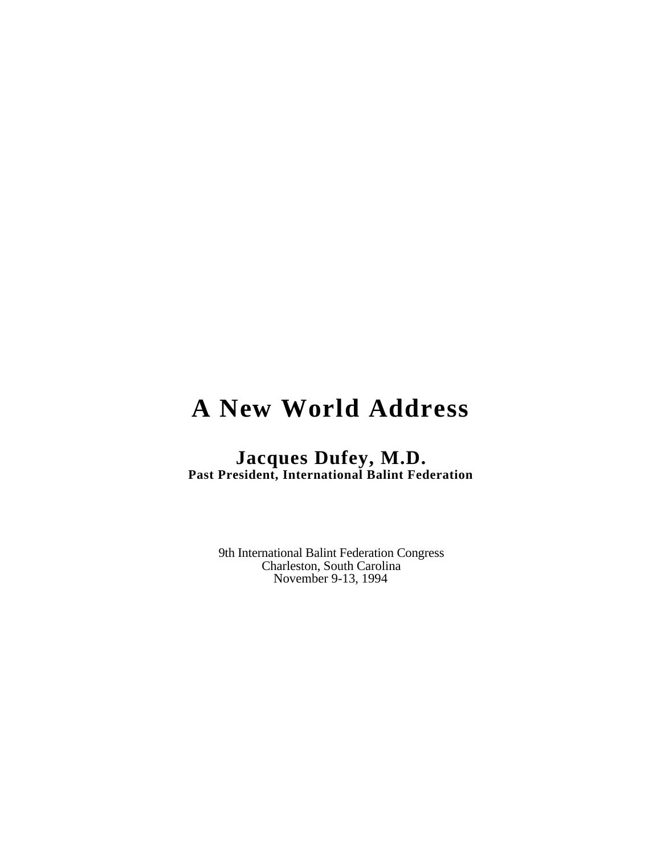# **A New World Address**

## **Jacques Dufey, M.D. Past President, International Balint Federation**

9th International Balint Federation Congress Charleston, South Carolina November 9-13, 1994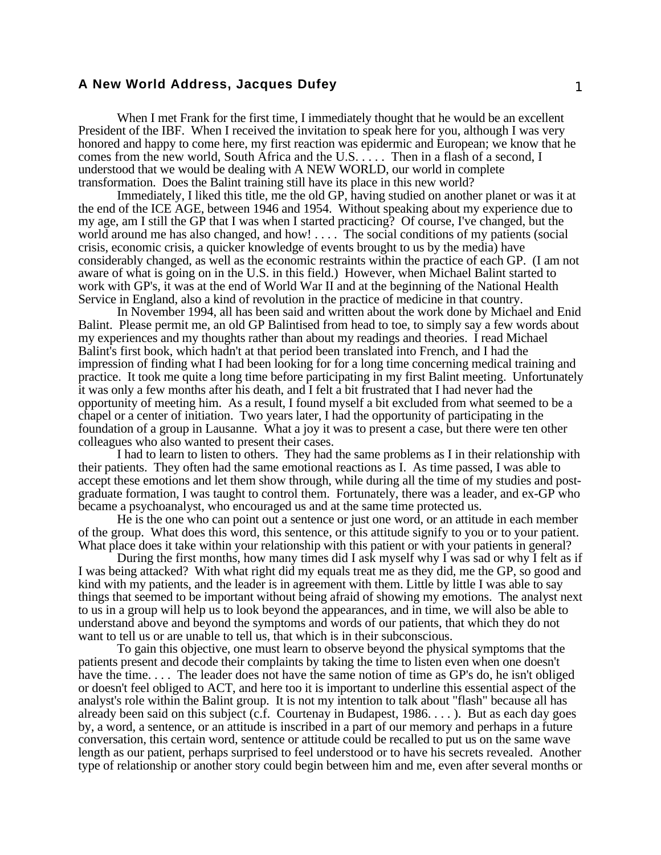### **A New World Address, Jacques Dufey** 1

When I met Frank for the first time, I immediately thought that he would be an excellent President of the IBF. When I received the invitation to speak here for you, although I was very honored and happy to come here, my first reaction was epidermic and European; we know that he comes from the new world, South Africa and the U.S. . . . . Then in a flash of a second, I understood that we would be dealing with A NEW WORLD, our world in complete transformation. Does the Balint training still have its place in this new world?

Immediately, I liked this title, me the old GP, having studied on another planet or was it at the end of the ICE AGE, between 1946 and 1954. Without speaking about my experience due to my age, am I still the GP that I was when I started practicing? Of course, I've changed, but the world around me has also changed, and how! . . . . The social conditions of my patients (social crisis, economic crisis, a quicker knowledge of events brought to us by the media) have considerably changed, as well as the economic restraints within the practice of each GP. (I am not aware of what is going on in the U.S. in this field.) However, when Michael Balint started to work with GP's, it was at the end of World War II and at the beginning of the National Health Service in England, also a kind of revolution in the practice of medicine in that country.

In November 1994, all has been said and written about the work done by Michael and Enid Balint. Please permit me, an old GP Balintised from head to toe, to simply say a few words about my experiences and my thoughts rather than about my readings and theories. I read Michael Balint's first book, which hadn't at that period been translated into French, and I had the impression of finding what I had been looking for for a long time concerning medical training and practice. It took me quite a long time before participating in my first Balint meeting. Unfortunately it was only a few months after his death, and I felt a bit frustrated that I had never had the opportunity of meeting him. As a result, I found myself a bit excluded from what seemed to be a chapel or a center of initiation. Two years later, I had the opportunity of participating in the foundation of a group in Lausanne. What a joy it was to present a case, but there were ten other colleagues who also wanted to present their cases.

I had to learn to listen to others. They had the same problems as I in their relationship with their patients. They often had the same emotional reactions as I. As time passed, I was able to accept these emotions and let them show through, while during all the time of my studies and postgraduate formation, I was taught to control them. Fortunately, there was a leader, and ex-GP who became a psychoanalyst, who encouraged us and at the same time protected us.

He is the one who can point out a sentence or just one word, or an attitude in each member of the group. What does this word, this sentence, or this attitude signify to you or to your patient. What place does it take within your relationship with this patient or with your patients in general?

During the first months, how many times did I ask myself why I was sad or why I felt as if I was being attacked? With what right did my equals treat me as they did, me the GP, so good and kind with my patients, and the leader is in agreement with them. Little by little I was able to say things that seemed to be important without being afraid of showing my emotions. The analyst next to us in a group will help us to look beyond the appearances, and in time, we will also be able to understand above and beyond the symptoms and words of our patients, that which they do not want to tell us or are unable to tell us, that which is in their subconscious.

To gain this objective, one must learn to observe beyond the physical symptoms that the patients present and decode their complaints by taking the time to listen even when one doesn't have the time.... The leader does not have the same notion of time as GP's do, he isn't obliged or doesn't feel obliged to ACT, and here too it is important to underline this essential aspect of the analyst's role within the Balint group. It is not my intention to talk about "flash" because all has already been said on this subject (c.f. Courtenay in Budapest,  $1986$ ....). But as each day goes by, a word, a sentence, or an attitude is inscribed in a part of our memory and perhaps in a future conversation, this certain word, sentence or attitude could be recalled to put us on the same wave length as our patient, perhaps surprised to feel understood or to have his secrets revealed. Another type of relationship or another story could begin between him and me, even after several months or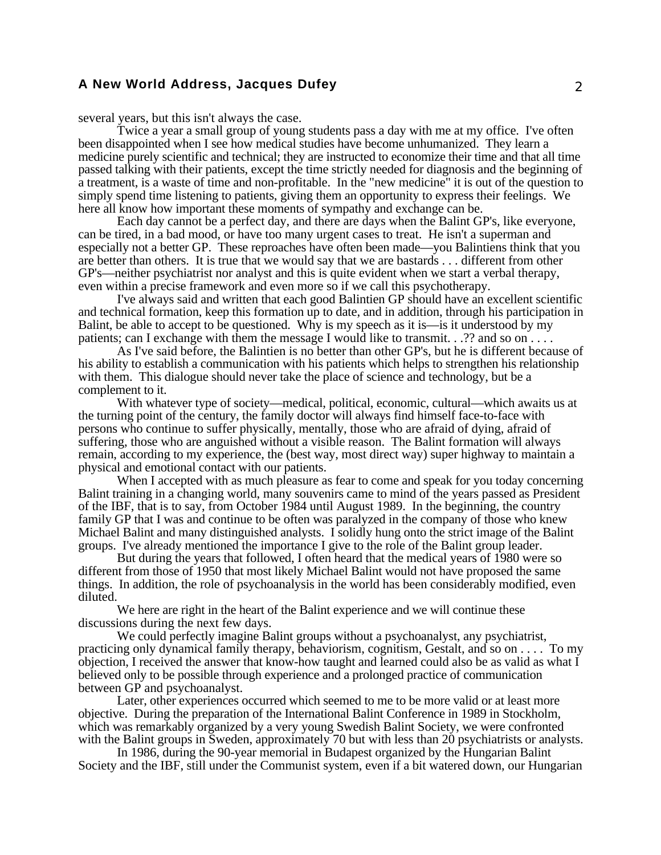### **A New World Address, Jacques Dufey** 2

several years, but this isn't always the case.

Twice a year a small group of young students pass a day with me at my office. I've often been disappointed when I see how medical studies have become unhumanized. They learn a medicine purely scientific and technical; they are instructed to economize their time and that all time passed talking with their patients, except the time strictly needed for diagnosis and the beginning of a treatment, is a waste of time and non-profitable. In the "new medicine" it is out of the question to simply spend time listening to patients, giving them an opportunity to express their feelings. We here all know how important these moments of sympathy and exchange can be.

Each day cannot be a perfect day, and there are days when the Balint GP's, like everyone, can be tired, in a bad mood, or have too many urgent cases to treat. He isn't a superman and especially not a better GP. These reproaches have often been made—you Balintiens think that you are better than others. It is true that we would say that we are bastards . . . different from other GP's—neither psychiatrist nor analyst and this is quite evident when we start a verbal therapy, even within a precise framework and even more so if we call this psychotherapy.

I've always said and written that each good Balintien GP should have an excellent scientific and technical formation, keep this formation up to date, and in addition, through his participation in Balint, be able to accept to be questioned. Why is my speech as it is—is it understood by my patients; can I exchange with them the message I would like to transmit. . .?? and so on . . . . .

As I've said before, the Balintien is no better than other GP's, but he is different because of his ability to establish a communication with his patients which helps to strengthen his relationship with them. This dialogue should never take the place of science and technology, but be a complement to it.

With whatever type of society—medical, political, economic, cultural—which awaits us at the turning point of the century, the family doctor will always find himself face-to-face with persons who continue to suffer physically, mentally, those who are afraid of dying, afraid of suffering, those who are anguished without a visible reason. The Balint formation will always remain, according to my experience, the (best way, most direct way) super highway to maintain a physical and emotional contact with our patients.

When I accepted with as much pleasure as fear to come and speak for you today concerning Balint training in a changing world, many souvenirs came to mind of the years passed as President of the IBF, that is to say, from October 1984 until August 1989. In the beginning, the country family GP that I was and continue to be often was paralyzed in the company of those who knew Michael Balint and many distinguished analysts. I solidly hung onto the strict image of the Balint groups. I've already mentioned the importance I give to the role of the Balint group leader.

But during the years that followed, I often heard that the medical years of 1980 were so different from those of 1950 that most likely Michael Balint would not have proposed the same things. In addition, the role of psychoanalysis in the world has been considerably modified, even diluted.

We here are right in the heart of the Balint experience and we will continue these discussions during the next few days.

We could perfectly imagine Balint groups without a psychoanalyst, any psychiatrist, practicing only dynamical family therapy, behaviorism, cognitism, Gestalt, and so on . . . . To my objection, I received the answer that know-how taught and learned could also be as valid as what I believed only to be possible through experience and a prolonged practice of communication between GP and psychoanalyst.

Later, other experiences occurred which seemed to me to be more valid or at least more objective. During the preparation of the International Balint Conference in 1989 in Stockholm, which was remarkably organized by a very young Swedish Balint Society, we were confronted with the Balint groups in Sweden, approximately 70 but with less than 20 psychiatrists or analysts.

In 1986, during the 90-year memorial in Budapest organized by the Hungarian Balint Society and the IBF, still under the Communist system, even if a bit watered down, our Hungarian